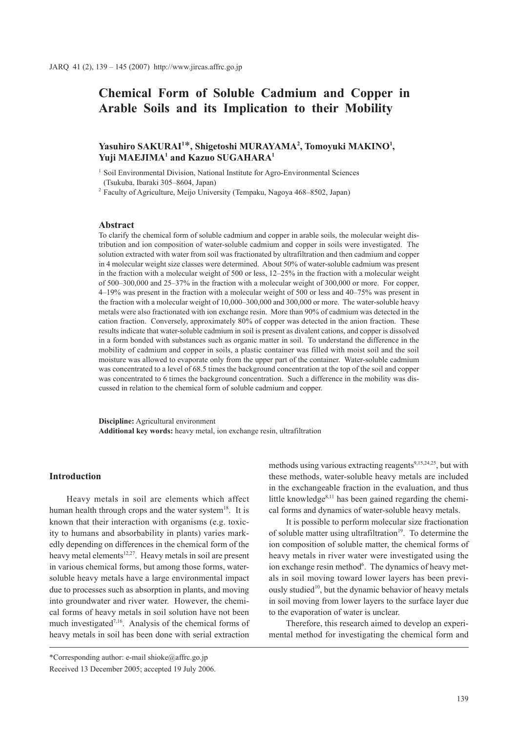# **Chemical Form of Soluble Cadmium and Copper in Arable Soils and its Implication to their Mobility**

## Yasuhiro SAKURAI<sup>1\*</sup>, Shigetoshi MURAYAMA<sup>2</sup>, Tomoyuki MAKINO<sup>1</sup>, **Yuji MAEJIMA1 and Kazuo SUGAHARA1**

<sup>1</sup> Soil Environmental Division, National Institute for Agro-Environmental Sciences (Tsukuba, Ibaraki 305–8604, Japan)

<sup>2</sup> Faculty of Agriculture, Meijo University (Tempaku, Nagoya 468–8502, Japan)

### **Abstract**

To clarify the chemical form of soluble cadmium and copper in arable soils, the molecular weight distribution and ion composition of water-soluble cadmium and copper in soils were investigated. The solution extracted with water from soil was fractionated by ultrafiltration and then cadmium and copper in 4 molecular weight size classes were determined. About 50% of water-soluble cadmium was present in the fraction with a molecular weight of 500 or less,  $12-25%$  in the fraction with a molecular weight of 500–300,000 and 25–37% in the fraction with a molecular weight of 300,000 or more. For copper, 4–19% was present in the fraction with a molecular weight of 500 or less and 40–75% was present in the fraction with a molecular weight of 10,000–300,000 and 300,000 or more. The water-soluble heavy metals were also fractionated with ion exchange resin. More than 90% of cadmium was detected in the cation fraction. Conversely, approximately 80% of copper was detected in the anion fraction. These results indicate that water-soluble cadmium in soil is present as divalent cations, and copper is dissolved in a form bonded with substances such as organic matter in soil. To understand the difference in the mobility of cadmium and copper in soils, a plastic container was filled with moist soil and the soil moisture was allowed to evaporate only from the upper part of the container. Water-soluble cadmium was concentrated to a level of 68.5 times the background concentration at the top of the soil and copper was concentrated to 6 times the background concentration. Such a difference in the mobility was discussed in relation to the chemical form of soluble cadmium and copper.

**Discipline:** Agricultural environment **Additional key words:** heavy metal, ion exchange resin, ultrafiltration

### **Introduction**

Heavy metals in soil are elements which affect human health through crops and the water system<sup>18</sup>. It is known that their interaction with organisms (e.g. toxicity to humans and absorbability in plants) varies markedly depending on differences in the chemical form of the heavy metal elements<sup>12,27</sup>. Heavy metals in soil are present in various chemical forms, but among those forms, watersoluble heavy metals have a large environmental impact due to processes such as absorption in plants, and moving into groundwater and river water. However, the chemical forms of heavy metals in soil solution have not been much investigated<sup>7,16</sup>. Analysis of the chemical forms of heavy metals in soil has been done with serial extraction

to the evaporation of water is unclear. Therefore, this research aimed to develop an experimental method for investigating the chemical form and

methods using various extracting reagents<sup>9,15,24,25</sup>, but with these methods, water-soluble heavy metals are included in the exchangeable fraction in the evaluation, and thus little knowledge $8,11$  has been gained regarding the chemical forms and dynamics of water-soluble heavy metals.

It is possible to perform molecular size fractionation of soluble matter using ultrafiltration<sup>19</sup>. To determine the ion composition of soluble matter, the chemical forms of

heavy metals in river water were investigated using the ion exchange resin method<sup>6</sup>. The dynamics of heavy metals in soil moving toward lower layers has been previously studied<sup>10</sup>, but the dynamic behavior of heavy metals in soil moving from lower layers to the surface layer due

<sup>\*</sup>Corresponding author: e-mail shioke@affrc.go.jp Received 13 December 2005; accepted 19 July 2006.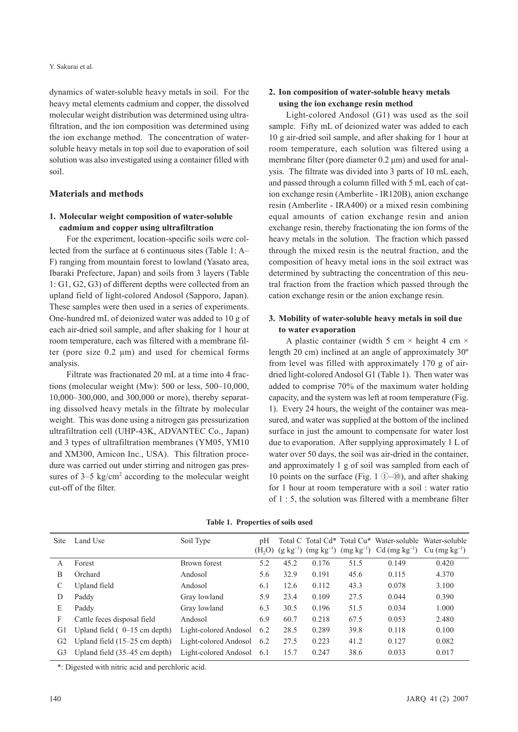dynamics of water-soluble heavy metals in soil. For the heavy metal elements cadmium and copper, the dissolved molecular weight distribution was determined using ultrafiltration, and the ion composition was determined using the ion exchange method. The concentration of watersoluble heavy metals in top soil due to evaporation of soil solution was also investigated using a container filled with soil.

### **Materials and methods**

### **1. Molecular weight composition of water-soluble cadmium and copper using ultrafiltration**

For the experiment, location-specific soils were collected from the surface at 6 continuous sites (Table 1: A– F) ranging from mountain forest to lowland (Yasato area, Ibaraki Prefecture, Japan) and soils from 3 layers (Table 1: G1, G2, G3) of different depths were collected from an upland field of light-colored Andosol (Sapporo, Japan). These samples were then used in a series of experiments. One-hundred mL of deionized water was added to 10 g of each air-dried soil sample, and after shaking for 1 hour at room temperature, each was filtered with a membrane filter (pore size 0.2 μm) and used for chemical forms analysis.

Filtrate was fractionated 20 mL at a time into 4 fractions (molecular weight (Mw): 500 or less, 500–10,000, 10,000–300,000, and 300,000 or more), thereby separating dissolved heavy metals in the filtrate by molecular weight. This was done using a nitrogen gas pressurization ultrafiltration cell (UHP-43K, ADVANTEC Co., Japan) and 3 types of ultrafiltration membranes (YM05, YM10 and XM300, Amicon Inc., USA). This filtration procedure was carried out under stirring and nitrogen gas pressures of  $3-5$  kg/cm<sup>2</sup> according to the molecular weight cut-off of the filter.

### **2. Ion composition of water-soluble heavy metals using the ion exchange resin method**

Light-colored Andosol (G1) was used as the soil sample. Fifty mL of deionized water was added to each 10 g air-dried soil sample, and after shaking for 1 hour at room temperature, each solution was filtered using a membrane filter (pore diameter 0.2 μm) and used for analysis. The filtrate was divided into 3 parts of 10 mL each, and passed through a column filled with 5 mL each of cation exchange resin (Amberlite - IR120B), anion exchange resin (Amberlite - IRA400) or a mixed resin combining equal amounts of cation exchange resin and anion exchange resin, thereby fractionating the ion forms of the heavy metals in the solution. The fraction which passed through the mixed resin is the neutral fraction, and the composition of heavy metal ions in the soil extract was determined by subtracting the concentration of this neutral fraction from the fraction which passed through the cation exchange resin or the anion exchange resin.

### **3. Mobility of water-soluble heavy metals in soil due to water evaporation**

A plastic container (width 5 cm  $\times$  height 4 cm  $\times$ length 20 cm) inclined at an angle of approximately 30º from level was filled with approximately 170 g of airdried light-colored Andosol G1 (Table 1). Then water was added to comprise 70% of the maximum water holding capacity, and the system was left at room temperature (Fig. 1). Every 24 hours, the weight of the container was measured, and water was supplied at the bottom of the inclined surface in just the amount to compensate for water lost due to evaporation. After supplying approximately 1 L of water over 50 days, the soil was air-dried in the container, and approximately 1 g of soil was sampled from each of 10 points on the surface (Fig. 1  $(D-<sub>10</sub>)$ ), and after shaking for 1 hour at room temperature with a soil : water ratio of 1 : 5, the solution was filtered with a membrane filter

| <b>Site</b>    | Land Use                                | Soil Type             | pН   |      |       |      | Total C Total Cd* Total Cu* Water-soluble Water-soluble<br>$(H2O)$ (g kg <sup>-1</sup> ) (mg kg <sup>-1</sup> ) (mg kg <sup>-1</sup> ) Cd (mg kg <sup>-1</sup> ) | $Cu$ (mg kg <sup>-1</sup> ) |
|----------------|-----------------------------------------|-----------------------|------|------|-------|------|------------------------------------------------------------------------------------------------------------------------------------------------------------------|-----------------------------|
| A              | Forest                                  | Brown forest          | 5.2  | 45.2 | 0.176 | 51.5 | 0.149                                                                                                                                                            | 0.420                       |
| B              | Orchard                                 | Andosol               | 5.6  | 32.9 | 0.191 | 45.6 | 0.115                                                                                                                                                            | 4.370                       |
| C              | Upland field                            | Andosol               | 6.1  | 12.6 | 0.112 | 43.3 | 0.078                                                                                                                                                            | 3.100                       |
| D              | Paddy                                   | Gray lowland          | 5.9  | 23.4 | 0.109 | 27.5 | 0.044                                                                                                                                                            | 0.390                       |
| E              | Paddy                                   | Gray lowland          | 6.3  | 30.5 | 0.196 | 51.5 | 0.034                                                                                                                                                            | 1.000                       |
| F              | Cattle feces disposal field             | Andosol               | 6.9  | 60.7 | 0.218 | 67.5 | 0.053                                                                                                                                                            | 2.480                       |
| G1             | Upland field $(0-15$ cm depth)          | Light-colored Andosol | 6.2  | 28.5 | 0.289 | 39.8 | 0.118                                                                                                                                                            | 0.100                       |
| G <sub>2</sub> | Upland field $(15-25 \text{ cm depth})$ | Light-colored Andosol | 6.2  | 27.5 | 0.223 | 41.2 | 0.127                                                                                                                                                            | 0.082                       |
| G <sub>3</sub> | Upland field (35–45 cm depth)           | Light-colored Andosol | -6.1 | 15.7 | 0.247 | 38.6 | 0.033                                                                                                                                                            | 0.017                       |

**Table 1. Properties of soils used**

\*: Digested with nitric acid and perchloric acid.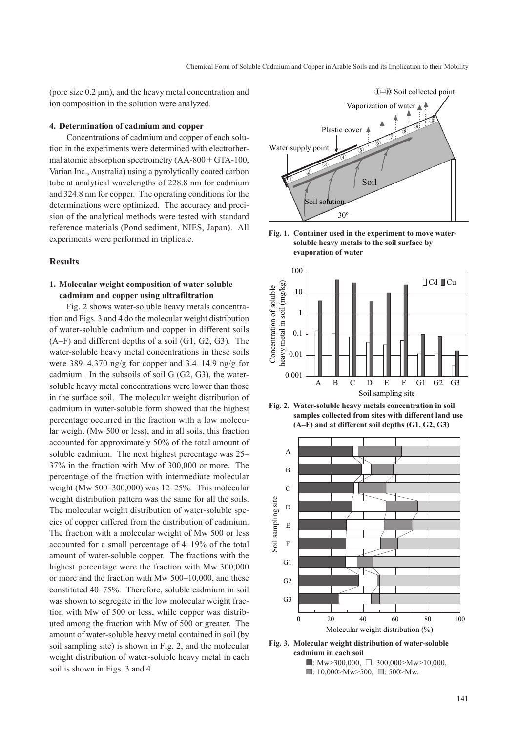(pore size 0.2 μm), and the heavy metal concentration and ion composition in the solution were analyzed.

#### **4. Determination of cadmium and copper**

Concentrations of cadmium and copper of each solution in the experiments were determined with electrothermal atomic absorption spectrometry (AA-800 + GTA-100, Varian Inc., Australia) using a pyrolytically coated carbon tube at analytical wavelengths of 228.8 nm for cadmium and 324.8 nm for copper. The operating conditions for the determinations were optimized. The accuracy and precision of the analytical methods were tested with standard reference materials (Pond sediment, NIES, Japan). All experiments were performed in triplicate.

### **Results**

### **1. Molecular weight composition of water-soluble cadmium and copper using ultrafiltration**

Fig. 2 shows water-soluble heavy metals concentration and Figs. 3 and 4 do the molecular weight distribution of water-soluble cadmium and copper in different soils (A–F) and different depths of a soil (G1, G2, G3). The water-soluble heavy metal concentrations in these soils were 389–4,370 ng/g for copper and 3.4–14.9 ng/g for cadmium. In the subsoils of soil G (G2, G3), the watersoluble heavy metal concentrations were lower than those in the surface soil. The molecular weight distribution of cadmium in water-soluble form showed that the highest percentage occurred in the fraction with a low molecular weight (Mw 500 or less), and in all soils, this fraction accounted for approximately 50% of the total amount of soluble cadmium. The next highest percentage was 25– 37% in the fraction with Mw of 300,000 or more. The percentage of the fraction with intermediate molecular weight (Mw 500–300,000) was 12–25%. This molecular weight distribution pattern was the same for all the soils. The molecular weight distribution of water-soluble species of copper differed from the distribution of cadmium. The fraction with a molecular weight of Mw 500 or less accounted for a small percentage of 4–19% of the total amount of water-soluble copper. The fractions with the highest percentage were the fraction with Mw 300,000 or more and the fraction with Mw 500–10,000, and these constituted 40–75%. Therefore, soluble cadmium in soil was shown to segregate in the low molecular weight fraction with Mw of 500 or less, while copper was distributed among the fraction with Mw of 500 or greater. The amount of water-soluble heavy metal contained in soil (by soil sampling site) is shown in Fig. 2, and the molecular weight distribution of water-soluble heavy metal in each soil is shown in Figs. 3 and 4.











**Fig. 3. Molecular weight distribution of water-soluble cadmium in each soil**

 $\blacksquare$ : Mw>300,000,  $\Box$ : 300,000>Mw>10,000,  $\Box$ : 10,000>Mw>500,  $\Box$ : 500>Mw.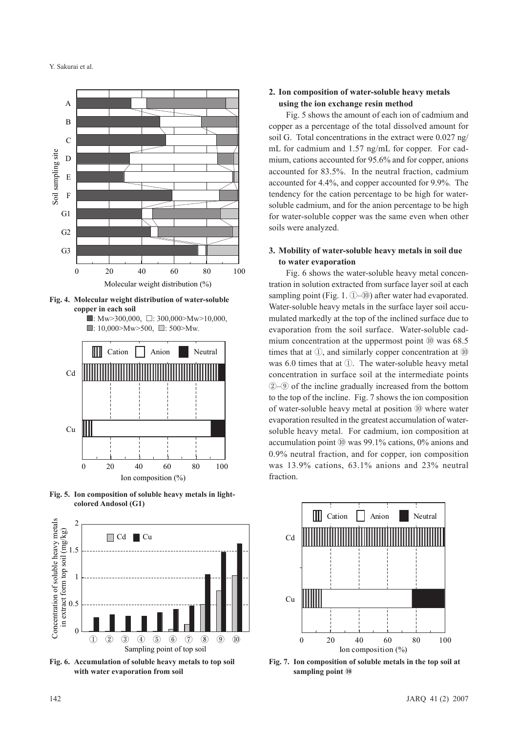

**Fig. 4. Molecular weight distribution of water-soluble copper in each soil**





**Fig. 5. Ion composition of soluble heavy metals in lightcolored Andosol (G1)**



**Fig. 6. Accumulation of soluble heavy metals to top soil with water evaporation from soil**

### **2. Ion composition of water-soluble heavy metals using the ion exchange resin method**

Fig. 5 shows the amount of each ion of cadmium and copper as a percentage of the total dissolved amount for soil G. Total concentrations in the extract were 0.027 ng/ mL for cadmium and 1.57 ng/mL for copper. For cadmium, cations accounted for 95.6% and for copper, anions accounted for 83.5%. In the neutral fraction, cadmium accounted for 4.4%, and copper accounted for 9.9%. The tendency for the cation percentage to be high for watersoluble cadmium, and for the anion percentage to be high for water-soluble copper was the same even when other soils were analyzed.

### **3. Mobility of water-soluble heavy metals in soil due to water evaporation**

Fig. 6 shows the water-soluble heavy metal concentration in solution extracted from surface layer soil at each sampling point (Fig. 1. ①–⑩) after water had evaporated. Water-soluble heavy metals in the surface layer soil accumulated markedly at the top of the inclined surface due to evaporation from the soil surface. Water-soluble cadmium concentration at the uppermost point ⑩ was 68.5 times that at ①, and similarly copper concentration at ⑩ was 6.0 times that at ①. The water-soluble heavy metal concentration in surface soil at the intermediate points ②–⑨ of the incline gradually increased from the bottom to the top of the incline. Fig. 7 shows the ion composition of water-soluble heavy metal at position ⑩ where water evaporation resulted in the greatest accumulation of watersoluble heavy metal. For cadmium, ion composition at accumulation point ⑩ was 99.1% cations, 0% anions and 0.9% neutral fraction, and for copper, ion composition was 13.9% cations, 63.1% anions and 23% neutral fraction.



**Fig. 7. Ion composition of soluble metals in the top soil at sampling point** ⑩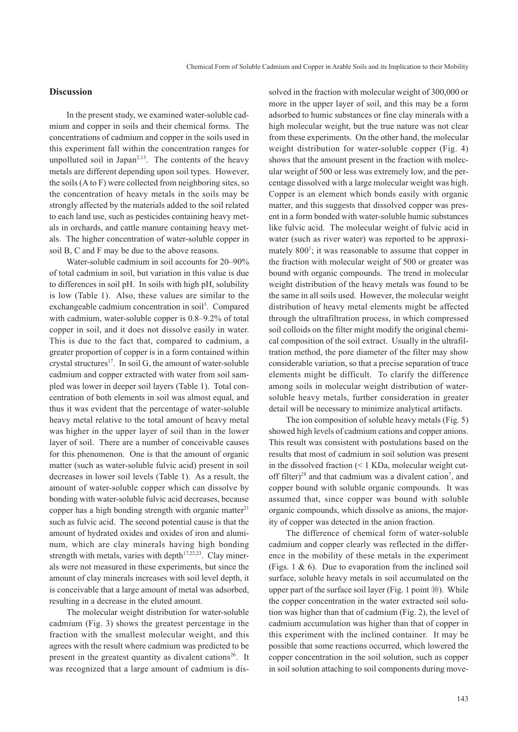### **Discussion**

In the present study, we examined water-soluble cadmium and copper in soils and their chemical forms. The concentrations of cadmium and copper in the soils used in this experiment fall within the concentration ranges for unpolluted soil in Japan<sup> $2,13$ </sup>. The contents of the heavy metals are different depending upon soil types. However, the soils (A to F) were collected from neighboring sites, so the concentration of heavy metals in the soils may be strongly affected by the materials added to the soil related to each land use, such as pesticides containing heavy metals in orchards, and cattle manure containing heavy metals. The higher concentration of water-soluble copper in soil B, C and F may be due to the above reasons.

Water-soluble cadmium in soil accounts for 20–90% of total cadmium in soil, but variation in this value is due to differences in soil pH. In soils with high pH, solubility is low (Table 1). Also, these values are similar to the exchangeable cadmium concentration in soil<sup>3</sup>. Compared with cadmium, water-soluble copper is 0.8–9.2% of total copper in soil, and it does not dissolve easily in water. This is due to the fact that, compared to cadmium, a greater proportion of copper is in a form contained within crystal structures<sup>17</sup>. In soil G, the amount of water-soluble cadmium and copper extracted with water from soil sampled was lower in deeper soil layers (Table 1). Total concentration of both elements in soil was almost equal, and thus it was evident that the percentage of water-soluble heavy metal relative to the total amount of heavy metal was higher in the upper layer of soil than in the lower layer of soil. There are a number of conceivable causes for this phenomenon. One is that the amount of organic matter (such as water-soluble fulvic acid) present in soil decreases in lower soil levels (Table 1). As a result, the amount of water-soluble copper which can dissolve by bonding with water-soluble fulvic acid decreases, because copper has a high bonding strength with organic matter<sup>21</sup> such as fulvic acid. The second potential cause is that the amount of hydrated oxides and oxides of iron and aluminum, which are clay minerals having high bonding strength with metals, varies with depth $17,22,23$ . Clay minerals were not measured in these experiments, but since the amount of clay minerals increases with soil level depth, it is conceivable that a large amount of metal was adsorbed, resulting in a decrease in the eluted amount.

The molecular weight distribution for water-soluble cadmium (Fig. 3) shows the greatest percentage in the fraction with the smallest molecular weight, and this agrees with the result where cadmium was predicted to be present in the greatest quantity as divalent cations<sup>26</sup>. It was recognized that a large amount of cadmium is dis-

solved in the fraction with molecular weight of 300,000 or more in the upper layer of soil, and this may be a form adsorbed to humic substances or fine clay minerals with a high molecular weight, but the true nature was not clear from these experiments. On the other hand, the molecular weight distribution for water-soluble copper (Fig. 4) shows that the amount present in the fraction with molecular weight of 500 or less was extremely low, and the percentage dissolved with a large molecular weight was high. Copper is an element which bonds easily with organic matter, and this suggests that dissolved copper was present in a form bonded with water-soluble humic substances like fulvic acid. The molecular weight of fulvic acid in water (such as river water) was reported to be approximately 800<sup>1</sup>; it was reasonable to assume that copper in the fraction with molecular weight of 500 or greater was bound with organic compounds. The trend in molecular weight distribution of the heavy metals was found to be the same in all soils used. However, the molecular weight distribution of heavy metal elements might be affected through the ultrafiltration process, in which compressed soil colloids on the filter might modify the original chemical composition of the soil extract. Usually in the ultrafiltration method, the pore diameter of the filter may show considerable variation, so that a precise separation of trace elements might be difficult. To clarify the difference among soils in molecular weight distribution of watersoluble heavy metals, further consideration in greater detail will be necessary to minimize analytical artifacts.

The ion composition of soluble heavy metals (Fig. 5) showed high levels of cadmium cations and copper anions. This result was consistent with postulations based on the results that most of cadmium in soil solution was present in the dissolved fraction (< 1 KDa, molecular weight cutoff filter)<sup>28</sup> and that cadmium was a divalent cation<sup>7</sup>, and copper bound with soluble organic compounds. It was assumed that, since copper was bound with soluble organic compounds, which dissolve as anions, the majority of copper was detected in the anion fraction.

The difference of chemical form of water-soluble cadmium and copper clearly was reflected in the difference in the mobility of these metals in the experiment (Figs. 1 & 6). Due to evaporation from the inclined soil surface, soluble heavy metals in soil accumulated on the upper part of the surface soil layer (Fig. 1 point  $\omega$ ). While the copper concentration in the water extracted soil solution was higher than that of cadmium (Fig. 2), the level of cadmium accumulation was higher than that of copper in this experiment with the inclined container. It may be possible that some reactions occurred, which lowered the copper concentration in the soil solution, such as copper in soil solution attaching to soil components during move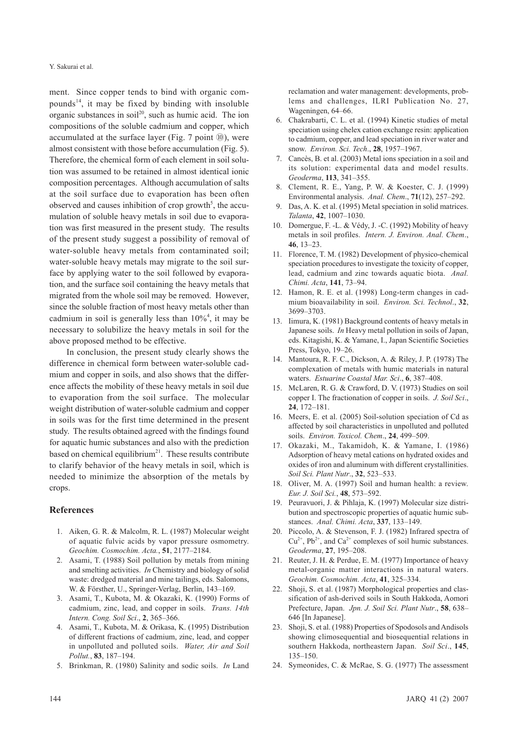Y. Sakurai et al.

ment. Since copper tends to bind with organic compounds $14$ , it may be fixed by binding with insoluble organic substances in soil<sup>20</sup>, such as humic acid. The ion compositions of the soluble cadmium and copper, which accumulated at the surface layer (Fig. 7 point ⑩), were almost consistent with those before accumulation (Fig. 5). Therefore, the chemical form of each element in soil solution was assumed to be retained in almost identical ionic composition percentages. Although accumulation of salts at the soil surface due to evaporation has been often observed and causes inhibition of crop growth<sup>5</sup>, the accumulation of soluble heavy metals in soil due to evaporation was first measured in the present study. The results of the present study suggest a possibility of removal of water-soluble heavy metals from contaminated soil; water-soluble heavy metals may migrate to the soil surface by applying water to the soil followed by evaporation, and the surface soil containing the heavy metals that migrated from the whole soil may be removed. However, since the soluble fraction of most heavy metals other than cadmium in soil is generally less than 10%4 , it may be necessary to solubilize the heavy metals in soil for the above proposed method to be effective.

In conclusion, the present study clearly shows the difference in chemical form between water-soluble cadmium and copper in soils, and also shows that the difference affects the mobility of these heavy metals in soil due to evaporation from the soil surface. The molecular weight distribution of water-soluble cadmium and copper in soils was for the first time determined in the present study. The results obtained agreed with the findings found for aquatic humic substances and also with the prediction based on chemical equilibrium<sup>21</sup>. These results contribute to clarify behavior of the heavy metals in soil, which is needed to minimize the absorption of the metals by crops.

### **References**

- 1. Aiken, G. R. & Malcolm, R. L. (1987) Molecular weight of aquatic fulvic acids by vapor pressure osmometry. *Geochim. Cosmochim. Acta.*, **51**, 2177–2184.
- 2. Asami, T. (1988) Soil pollution by metals from mining and smelting activities. *In* Chemistry and biology of solid waste: dredged material and mine tailings, eds. Salomons, W. & Försther, U., Springer-Verlag, Berlin, 143–169.
- 3. Asami, T., Kubota, M. & Okazaki, K. (1990) Forms of cadmium, zinc, lead, and copper in soils. *Trans. 14th Intern. Cong. Soil Sci*., **2**, 365–366.
- 4. Asami, T., Kubota, M. & Orikasa, K. (1995) Distribution of different fractions of cadmium, zinc, lead, and copper in unpolluted and polluted soils. *Water, Air and Soil Pollut.*, **83**, 187–194.
- 5. Brinkman, R. (1980) Salinity and sodic soils. *In* Land

reclamation and water management: developments, problems and challenges, ILRI Publication No. 27, Wageningen, 64–66.

- 6. Chakrabarti, C. L. et al. (1994) Kinetic studies of metal speciation using chelex cation exchange resin: application to cadmium, copper, and lead speciation in river water and snow. *Environ. Sci. Tech*., **28**, 1957–1967.
- 7. Cancès, B. et al. (2003) Metal ions speciation in a soil and its solution: experimental data and model results. *Geoderma*, **113**, 341–355.
- 8. Clement, R. E., Yang, P. W. & Koester, C. J. (1999) Environmental analysis. *Anal. Chem*., **71**(12), 257–292.
- 9. Das, A. K. et al. (1995) Metal speciation in solid matrices. *Talanta*, **42**, 1007–1030.
- 10. Domergue, F. -L. & Védy, J. -C. (1992) Mobility of heavy metals in soil profiles. *Intern. J. Environ. Anal. Chem*., **46**, 13–23.
- 11. Florence, T. M. (1982) Development of physico-chemical speciation procedures to investigate the toxicity of copper, lead, cadmium and zinc towards aquatic biota. *Anal. Chimi. Acta*, **141**, 73–94.
- 12. Hamon, R. E. et al. (1998) Long-term changes in cadmium bioavailability in soil. *Environ. Sci. Technol*., **32**, 3699–3703.
- 13. Iimura, K. (1981) Background contents of heavy metals in Japanese soils. *In* Heavy metal pollution in soils of Japan, eds. Kitagishi, K. & Yamane, I., Japan Scientific Societies Press, Tokyo, 19–26.
- 14. Mantoura, R. F. C., Dickson, A. & Riley, J. P. (1978) The complexation of metals with humic materials in natural waters. *Estuarine Coastal Mar. Sci*., **6**, 387–408.
- 15. McLaren, R. G. & Crawford, D. V. (1973) Studies on soil copper I. The fractionation of copper in soils. *J. Soil Sci*., **24**, 172–181.
- 16. Meers, E. et al. (2005) Soil-solution speciation of Cd as affected by soil characteristics in unpolluted and polluted soils. *Environ. Toxicol. Chem*., **24**, 499–509.
- 17. Okazaki, M., Takamidoh, K. & Yamane, I. (1986) Adsorption of heavy metal cations on hydrated oxides and oxides of iron and aluminum with different crystallinities. *Soil Sci. Plant Nutr*., **32**, 523–533.
- 18. Oliver, M. A. (1997) Soil and human health: a review. *Eur. J. Soil Sci.*, **48**, 573–592.
- 19. Peuravuori, J. & Pihlaja, K. (1997) Molecular size distribution and spectroscopic properties of aquatic humic substances. *Anal. Chimi. Acta*, **337**, 133–149.
- 20. Piccolo, A. & Stevenson, F. J. (1982) Infrared spectra of  $Cu^{2+}$ , Pb<sup>2+</sup>, and  $Ca^{2+}$  complexes of soil humic substances. *Geoderma*, **27**, 195–208.
- 21. Reuter, J. H. & Perdue, E. M. (1977) Importance of heavy metal-organic matter interactions in natural waters. *Geochim. Cosmochim. Acta*, **41**, 325–334.
- 22. Shoji, S. et al. (1987) Morphological properties and classification of ash-derived soils in South Hakkoda, Aomori Prefecture, Japan. *Jpn. J. Soil Sci. Plant Nutr*., **58**, 638– 646 [In Japanese].
- 23. Shoji, S. et al. (1988) Properties of Spodosols and Andisols showing climosequential and biosequential relations in southern Hakkoda, northeastern Japan. *Soil Sci*., **145**, 135–150.
- 24. Symeonides, C. & McRae, S. G. (1977) The assessment